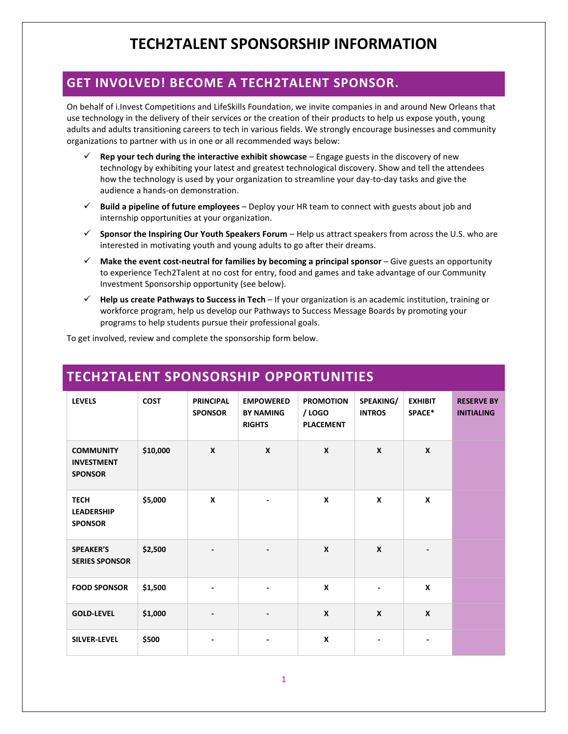### **GET INVOLVED! BECOME A TECH2TALENT SPONSOR.**

On behalf of i.Invest Competitions and LifeSkills Foundation, we invite companies in and around New Orleans that use technology in the delivery of their services or the creation of their products to help us expose youth, young adults and adults transitioning careers to tech in various fields. We strongly encourage businesses and community organizations to partner with us in one or all recommended ways below:

- ✓ **Rep your tech during the interactive exhibit showcase**  Engage guests in the discovery of new technology by exhibiting your latest and greatest technological discovery. Show and tell the attendees how the technology is used by your organization to streamline your day-to-day tasks and give the audience a hands-on demonstration.
- ✓ **Build a pipeline of future employees** Deploy your HR team to connect with guests about job and internship opportunities at your organization.
- ✓ **Sponsor the Inspiring Our Youth Speakers Forum** Help us attract speakers from across the U.S. who are interested in motivating youth and young adults to go after their dreams.
- ✓ **Make the event cost-neutral for families by becoming a principal sponsor** Give guests an opportunity to experience Tech2Talent at no cost for entry, food and games and take advantage of our Community Investment Sponsorship opportunity (see below).
- ✓ **Help us create Pathways to Success in Tech**  If your organization is an academic institution, training or workforce program, help us develop our Pathways to Success Message Boards by promoting your programs to help students pursue their professional goals.

To get involved, review and complete the sponsorship form below.

| <b>LEVELS</b>                                           | <b>COST</b> | <b>PRINCIPAL</b><br><b>SPONSOR</b> | <b>EMPOWERED</b><br><b>BY NAMING</b><br><b>RIGHTS</b> | <b>PROMOTION</b><br>/ LOGO<br><b>PLACEMENT</b> | SPEAKING/<br><b>INTROS</b> | <b>EXHIBIT</b><br>SPACE* | <b>RESERVE BY</b><br><b>INITIALING</b> |
|---------------------------------------------------------|-------------|------------------------------------|-------------------------------------------------------|------------------------------------------------|----------------------------|--------------------------|----------------------------------------|
| <b>COMMUNITY</b><br><b>INVESTMENT</b><br><b>SPONSOR</b> | \$10,000    | X                                  | $\mathbf{x}$                                          | $\mathbf{x}$                                   | $\mathbf{x}$               | $\mathsf{x}$             |                                        |
| <b>TECH</b><br><b>LEADERSHIP</b><br><b>SPONSOR</b>      | \$5,000     | X                                  | $\overline{\phantom{a}}$                              | X                                              | X                          | $\boldsymbol{x}$         |                                        |
| <b>SPEAKER'S</b><br><b>SERIES SPONSOR</b>               | \$2,500     |                                    | -                                                     | $\boldsymbol{x}$                               | $\boldsymbol{x}$           |                          |                                        |
| <b>FOOD SPONSOR</b>                                     | \$1,500     |                                    | $\overline{\phantom{a}}$                              | X                                              | ٠                          | X                        |                                        |
| <b>GOLD-LEVEL</b>                                       | \$1,000     | $\qquad \qquad \blacksquare$       | -                                                     | $\boldsymbol{x}$                               | $\boldsymbol{x}$           | $\boldsymbol{x}$         |                                        |
| <b>SILVER-LEVEL</b>                                     | \$500       |                                    | $\overline{\phantom{a}}$                              | $\boldsymbol{x}$                               | ٠                          |                          |                                        |

### **TECH2TALENT SPONSORSHIP OPPORTUNITIES**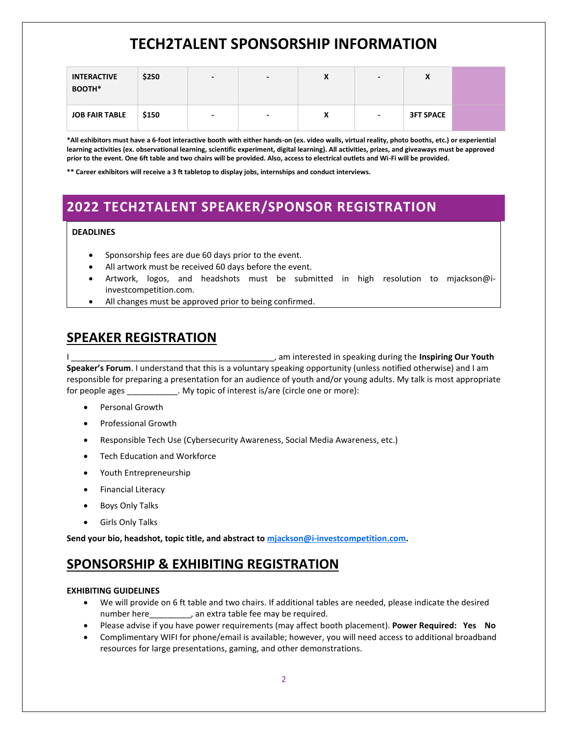# **TECH2TALENT SPONSORSHIP INFORMATION**

| <b>INTERACTIVE</b><br>BOOTH* | \$250 | $\overline{\phantom{0}}$ | $\blacksquare$           | X | $\overline{\phantom{0}}$ | $\sqrt{ }$       |
|------------------------------|-------|--------------------------|--------------------------|---|--------------------------|------------------|
| <b>JOB FAIR TABLE</b>        | \$150 | $\overline{\phantom{0}}$ | $\overline{\phantom{0}}$ | X | $\overline{\phantom{0}}$ | <b>3FT SPACE</b> |

**\*All exhibitors must have a 6-foot interactive booth with either hands-on (ex. video walls, virtual reality, photo booths, etc.) or experiential learning activities (ex. observational learning, scientific experiment, digital learning). All activities, prizes, and giveaways must be approved prior to the event. One 6ft table and two chairs will be provided. Also, access to electrical outlets and Wi-Fi will be provided.**

**\*\* Career exhibitors will receive a 3 ft tabletop to display jobs, internships and conduct interviews.**

### **2022 TECH2TALENT SPEAKER/SPONSOR REGISTRATION**

#### **DEADLINES**

- Sponsorship fees are due 60 days prior to the event.
- All artwork must be received 60 days before the event.
- Artwork, logos, and headshots must be submitted in high resolution to mjackson@iinvestcompetition.com.
- All changes must be approved prior to being confirmed.

### **SPEAKER REGISTRATION**

I \_\_\_\_\_\_\_\_\_\_\_\_\_\_\_\_\_\_\_\_\_\_\_\_\_\_\_\_\_\_\_\_\_\_\_\_\_\_\_\_\_\_\_\_, am interested in speaking during the **Inspiring Our Youth Speaker's Forum**. I understand that this is a voluntary speaking opportunity (unless notified otherwise) and I am responsible for preparing a presentation for an audience of youth and/or young adults. My talk is most appropriate for people ages Theorem 2011. My topic of interest is/are (circle one or more):

- Personal Growth
- Professional Growth
- Responsible Tech Use (Cybersecurity Awareness, Social Media Awareness, etc.)
- Tech Education and Workforce
- Youth Entrepreneurship
- Financial Literacy
- Boys Only Talks
- Girls Only Talks

**Send your bio, headshot, topic title, and abstract to [mjackson@i-investcompetition.com.](mailto:mjackson@i-investcompetition.com)**

### **SPONSORSHIP & EXHIBITING REGISTRATION**

#### **EXHIBITING GUIDELINES**

- We will provide on 6 ft table and two chairs. If additional tables are needed, please indicate the desired number here endled an extra table fee may be required.
- Please advise if you have power requirements (may affect booth placement). **Power Required: Yes No**
- Complimentary WIFI for phone/email is available; however, you will need access to additional broadband resources for large presentations, gaming, and other demonstrations.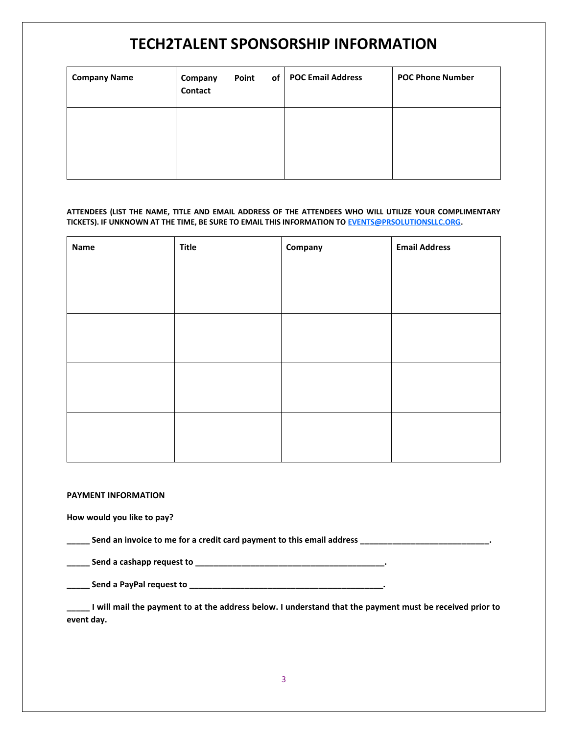# **TECH2TALENT SPONSORSHIP INFORMATION**

| <b>Company Name</b> | Company<br>Contact | Point<br>of | <b>POC Email Address</b> | <b>POC Phone Number</b> |
|---------------------|--------------------|-------------|--------------------------|-------------------------|
|                     |                    |             |                          |                         |
|                     |                    |             |                          |                         |

#### **ATTENDEES (LIST THE NAME, TITLE AND EMAIL ADDRESS OF THE ATTENDEES WHO WILL UTILIZE YOUR COMPLIMENTARY TICKETS). IF UNKNOWN AT THE TIME, BE SURE TO EMAIL THIS INFORMATION TO [EVENTS@PRSOLUTIONSLLC.ORG.](mailto:EVENTS@PRSOLUTIONSLLC.ORG)**

| Name | <b>Title</b> | Company | <b>Email Address</b> |
|------|--------------|---------|----------------------|
|      |              |         |                      |
|      |              |         |                      |
|      |              |         |                      |
|      |              |         |                      |
|      |              |         |                      |
|      |              |         |                      |
|      |              |         |                      |
|      |              |         |                      |

#### **PAYMENT INFORMATION**

**How would you like to pay?**

**\_\_\_\_\_ Send an invoice to me for a credit card payment to this email address \_\_\_\_\_\_\_\_\_\_\_\_\_\_\_\_\_\_\_\_\_\_\_\_\_\_\_\_.**

**\_\_\_\_\_ Send a cashapp request to \_\_\_\_\_\_\_\_\_\_\_\_\_\_\_\_\_\_\_\_\_\_\_\_\_\_\_\_\_\_\_\_\_\_\_\_\_\_\_\_\_.**

**\_\_\_\_\_ Send a PayPal request to \_\_\_\_\_\_\_\_\_\_\_\_\_\_\_\_\_\_\_\_\_\_\_\_\_\_\_\_\_\_\_\_\_\_\_\_\_\_\_\_\_\_.**

**\_\_\_\_\_ I will mail the payment to at the address below. I understand that the payment must be received prior to event day.**